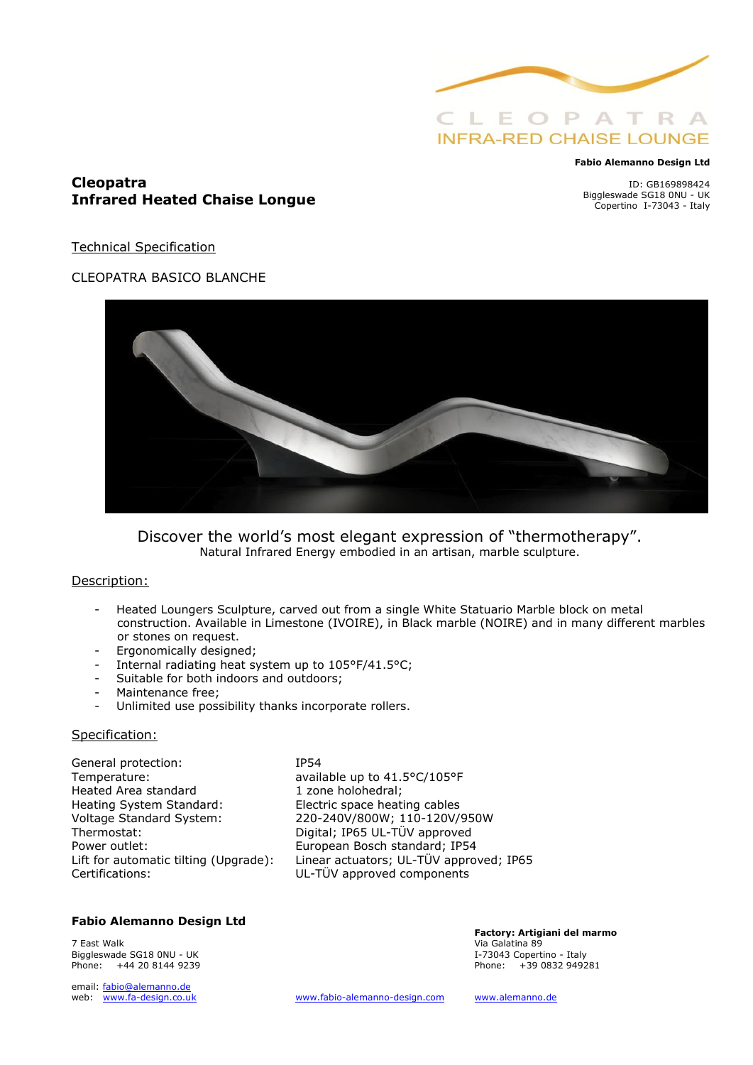

#### **Fabio Alemanno Design Ltd**

## **Cleopatra Infrared Heated Chaise Longue**

ID: GB169898424 Biggleswade SG18 0NU - UK Copertino I-73043 - Italy

Technical Specification

## CLEOPATRA BASICO BLANCHE



Discover the world's most elegant expression of "thermotherapy". Natural Infrared Energy embodied in an artisan, marble sculpture.

## Description:

- Heated Loungers Sculpture, carved out from a single White Statuario Marble block on metal construction. Available in Limestone (IVOIRE), in Black marble (NOIRE) and in many different marbles or stones on request.
- Ergonomically designed;
- Internal radiating heat system up to 105°F/41.5°C;
- Suitable for both indoors and outdoors;
- Maintenance free;
- Unlimited use possibility thanks incorporate rollers.

## Specification:

General protection: IP54 Temperature: available up to 41.5°C/105°F Heated Area standard 1 zone holohedral; Heating System Standard: Electric space heating cables Thermostat: Digital; IP65 UL-TÜV approved Power outlet: European Bosch standard; IP54<br>Lift for automatic tilting (Upgrade): Linear actuators; UL-TÜV appro Certifications: UL-TÜV approved components

Voltage Standard System: 220-240V/800W; 110-120V/950W Linear actuators; UL-TÜV approved; IP65

## **Fabio Alemanno Design Ltd**

7 East Walk Via Galatina 89 Biggleswade SG18 0NU - UK<br>Phone:  $+442081449239$ 

email: [fabio@alemanno.de](mailto:fabio@alemanno.de) 

**Factory: Artigiani del marmo**  Phone:  $+390832949281$ 

web: [www.fa-design.co.uk](http://www.fa-design.co.uk/) [www.fabio-alemanno-design.com](http://www.fabio-alemanno-design.com/) [www.alemanno.de](http://www.alemanno.de/)